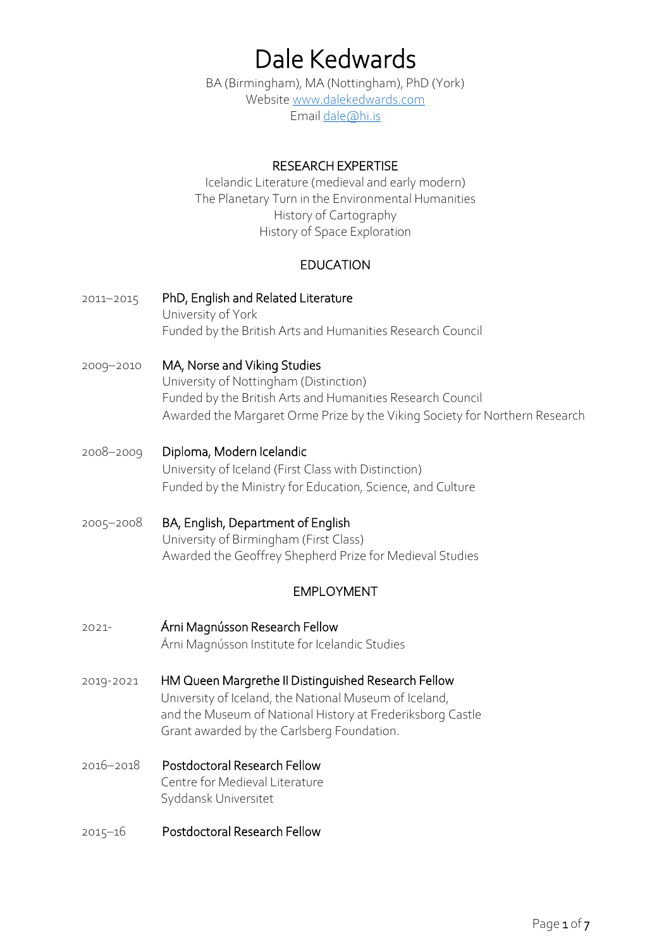# Dale Kedwards

BA (Birmingham), MA (Nottingham), PhD (York) Websit[e www.dalekedwards.com](http://www.dalekedwards.com/) Email [dale@hi.is](mailto:dale@hi.is)

## RESEARCH EXPERTISE

Icelandic Literature (medieval and early modern) The Planetary Turn in the Environmental Humanities History of Cartography History of Space Exploration

# EDUCATION

- 2011–2015 PhD, English and Related Literature University of York Funded by the British Arts and Humanities Research Council
- 2009–2010 MA, Norse and Viking Studies University of Nottingham (Distinction) Funded by the British Arts and Humanities Research Council Awarded the Margaret Orme Prize by the Viking Society for Northern Research
- 2008–2009 Diploma, Modern Icelandic University of Iceland (First Class with Distinction) Funded by the Ministry for Education, Science, and Culture
- 2005–2008 BA, English, Department of English University of Birmingham (First Class) Awarded the Geoffrey Shepherd Prize for Medieval Studies

# EMPLOYMENT

- 2021- Árni Magnússon Research Fellow Árni Magnússon Institute for Icelandic Studies
- 2019-2021 HM Queen Margrethe II Distinguished Research Fellow University of Iceland, the National Museum of Iceland, and the Museum of National History at Frederiksborg Castle Grant awarded by the Carlsberg Foundation.
- 2016–2018 Postdoctoral Research Fellow Centre for Medieval Literature Syddansk Universitet
- 2015–16 Postdoctoral Research Fellow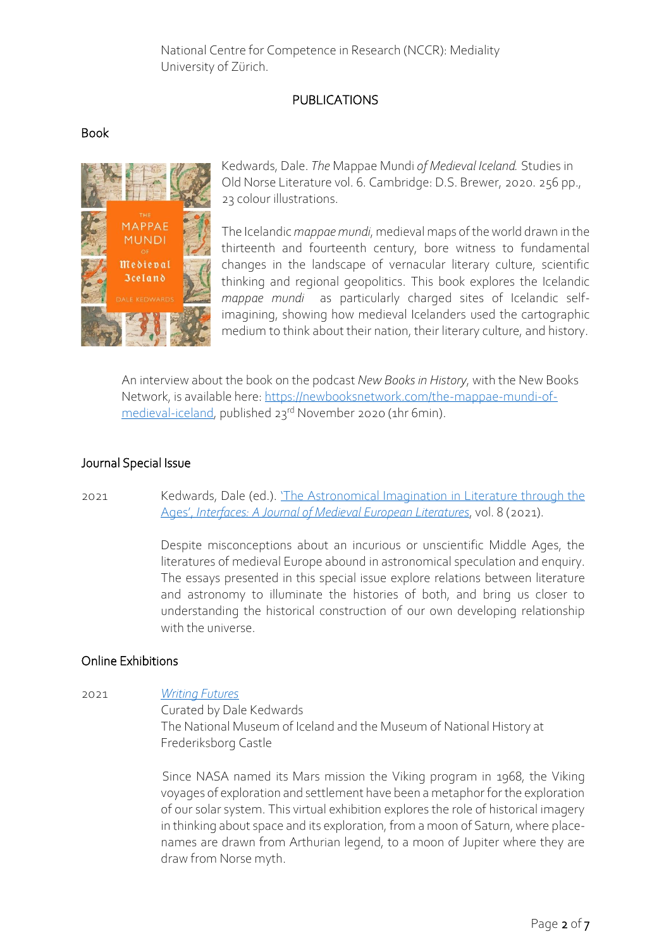National Centre for Competence in Research (NCCR): Mediality University of Zürich.

## PUBLICATIONS

#### Book



Kedwards, Dale. *The* Mappae Mundi *of Medieval Iceland.* Studies in Old Norse Literature vol. 6. Cambridge: D.S. Brewer, 2020. 256 pp., 23 colour illustrations.

The Icelandic *mappae mundi*, medieval maps of the world drawn in the thirteenth and fourteenth century, bore witness to fundamental changes in the landscape of vernacular literary culture, scientific thinking and regional geopolitics. This book explores the Icelandic *mappae mundi* as particularly charged sites of Icelandic selfimagining, showing how medieval Icelanders used the cartographic medium to think about their nation, their literary culture, and history.

An interview about the book on the podcast *New Books in History*, with the New Books Network, is available here: [https://newbooksnetwork.com/the-mappae-mundi-of](https://newbooksnetwork.com/the-mappae-mundi-of-medieval-iceland)[medieval-iceland,](https://newbooksnetwork.com/the-mappae-mundi-of-medieval-iceland) published 23rd November 2020 (1hr 6min).

## Journal Special Issue

2021 Kedwards, Dale (ed.). '[The Astronomical Imagination](https://riviste.unimi.it/interfaces/issue/view/1775) in Literature through the Ages', *[Interfaces: A Journal of Medieval European Literatures](https://riviste.unimi.it/interfaces/issue/view/1775)*, vol. 8 (2021).

> Despite misconceptions about an incurious or unscientific Middle Ages, the literatures of medieval Europe abound in astronomical speculation and enquiry. The essays presented in this special issue explore relations between literature and astronomy to illuminate the histories of both, and bring us closer to understanding the historical construction of our own developing relationship with the universe.

#### Online Exhibitions

2021 *[Writing Futures](https://www.dalekedwards.com/writing-futures)* Curated by Dale Kedwards The National Museum of Iceland and the Museum of National History at Frederiksborg Castle

> Since NASA named its Mars mission the Viking program in 1968, the Viking voyages of exploration and settlement have been a metaphor for the exploration of our solar system. This virtual exhibition explores the role of historical imagery in thinking about space and its exploration, from a moon of Saturn, where placenames are drawn from Arthurian legend, to a moon of Jupiter where they are draw from Norse myth.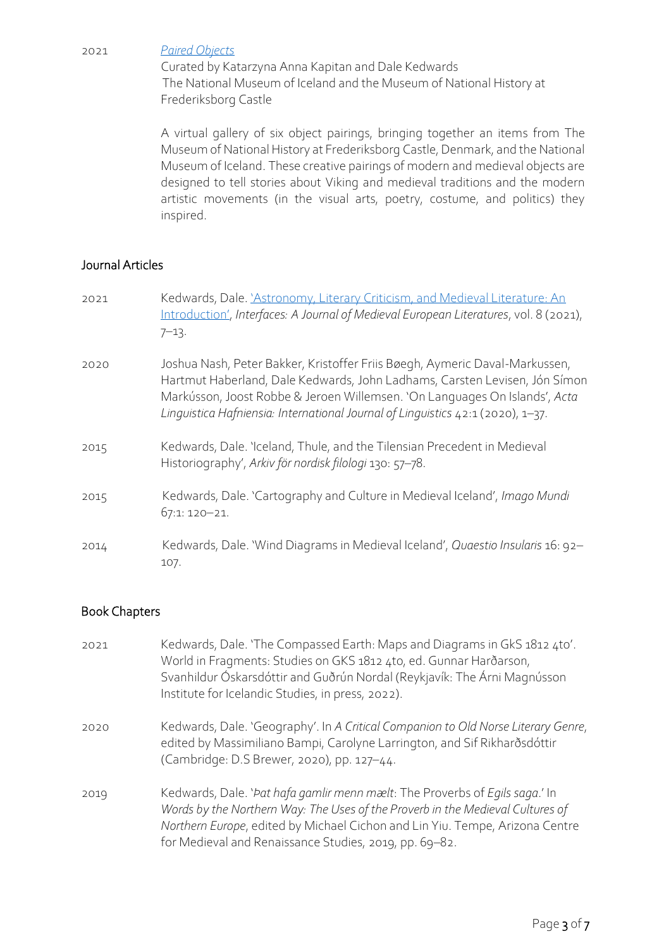2021 *[Paired Objects](https://oldnorsereception.omeka.net/exhibits/show/paired-objects/introduction)*

Curated by Katarzyna Anna Kapitan and Dale Kedwards The National Museum of Iceland and the Museum of National History at Frederiksborg Castle

A virtual gallery of six object pairings, bringing together an items from The Museum of National History at Frederiksborg Castle, Denmark, and the National Museum of Iceland. These creative pairings of modern and medieval objects are designed to tell stories about Viking and medieval traditions and the modern artistic movements (in the visual arts, poetry, costume, and politics) they inspired.

## Journal Articles

| 2021 | Kedwards, Dale. 'Astronomy, Literary Criticism, and Medieval Literature: An<br>Introduction', Interfaces: A Journal of Medieval European Literatures, vol. 8 (2021),<br>$7 - 13$ .                                                                                                                                         |
|------|----------------------------------------------------------------------------------------------------------------------------------------------------------------------------------------------------------------------------------------------------------------------------------------------------------------------------|
| 2020 | Joshua Nash, Peter Bakker, Kristoffer Friis Bøegh, Aymeric Daval-Markussen,<br>Hartmut Haberland, Dale Kedwards, John Ladhams, Carsten Levisen, Jón Símon<br>Markússon, Joost Robbe & Jeroen Willemsen. 'On Languages On Islands', Acta<br>Linguistica Hafniensia: International Journal of Linguistics 42:1 (2020), 1-37. |
| 2015 | Kedwards, Dale. 'Iceland, Thule, and the Tilensian Precedent in Medieval<br>Historiography', Arkiv för nordisk filologi 130: 57-78.                                                                                                                                                                                        |
| 2015 | Kedwards, Dale. 'Cartography and Culture in Medieval Iceland', Imago Mundi<br>67:1: 120-21.                                                                                                                                                                                                                                |
| 2014 | Kedwards, Dale. 'Wind Diagrams in Medieval Iceland', Quaestio Insularis 16: 92-<br>107.                                                                                                                                                                                                                                    |

## Book Chapters

| 2021 | Kedwards, Dale. 'The Compassed Earth: Maps and Diagrams in GkS 1812 4to'.<br>World in Fragments: Studies on GKS 1812 4to, ed. Gunnar Harðarson,<br>Svanhildur Óskarsdóttir and Guðrún Nordal (Reykjavík: The Árni Magnússon<br>Institute for Icelandic Studies, in press, 2022).                        |
|------|---------------------------------------------------------------------------------------------------------------------------------------------------------------------------------------------------------------------------------------------------------------------------------------------------------|
| 2020 | Kedwards, Dale. 'Geography'. In A Critical Companion to Old Norse Literary Genre,<br>edited by Massimiliano Bampi, Carolyne Larrington, and Sif Rikharðsdóttir<br>(Cambridge: D.S Brewer, 2020), pp. 127-44.                                                                                            |
| 2019 | Kedwards, Dale. 'Pat hafa gamlir menn mælt: The Proverbs of Egils saga.' In<br>Words by the Northern Way: The Uses of the Proverb in the Medieval Cultures of<br>Northern Europe, edited by Michael Cichon and Lin Yiu. Tempe, Arizona Centre<br>for Medieval and Renaissance Studies, 2019, pp. 69-82. |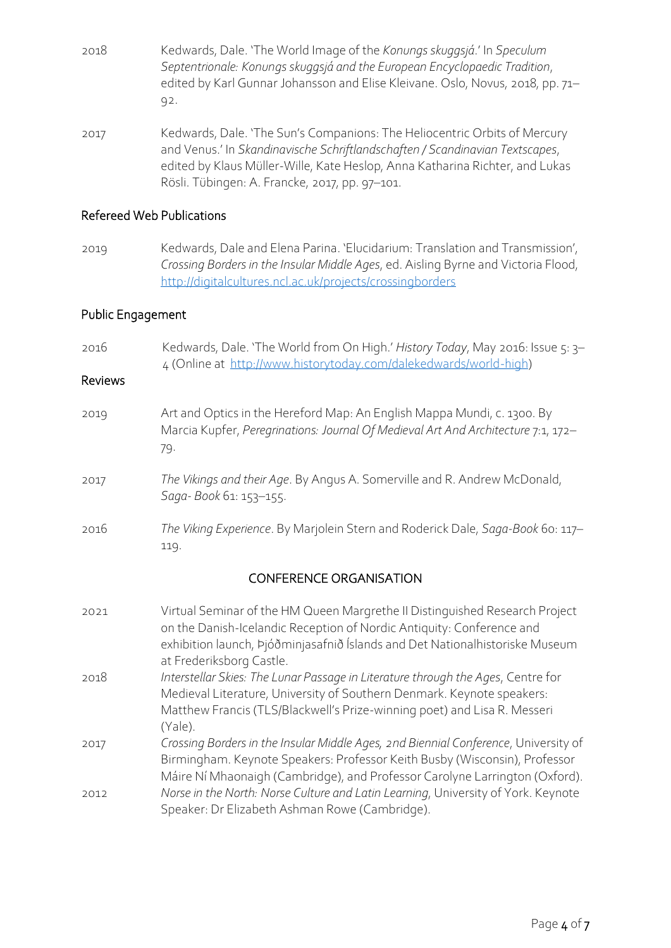- 2018 Kedwards, Dale. 'The World Image of the *Konungs skuggsjá*.' In *Speculum Septentrionale: Konungs skuggsjá and the European Encyclopaedic Tradition*, edited by Karl Gunnar Johansson and Elise Kleivane. Oslo, Novus, 2018, pp. 71– 92.
- 2017 Kedwards, Dale. 'The Sun's Companions: The Heliocentric Orbits of Mercury and Venus.' In *Skandinavische Schriftlandschaften / Scandinavian Textscapes*, edited by Klaus Müller-Wille, Kate Heslop, Anna Katharina Richter, and Lukas Rösli. Tübingen: A. Francke, 2017, pp. 97–101.

#### Refereed Web Publications

2019 Kedwards, Dale and Elena Parina. 'Elucidarium: Translation and Transmission', *Crossing Borders in the Insular Middle Ages*, ed. Aisling Byrne and Victoria Flood, <http://digitalcultures.ncl.ac.uk/projects/crossingborders>

## Public Engagement

| 2016<br><b>Reviews</b>         | Kedwards, Dale. 'The World from On High.' History Today, May 2016: Issue 5: 3-<br>4 (Online at http://www.historytoday.com/dalekedwards/world-high)                                                                                                              |  |  |
|--------------------------------|------------------------------------------------------------------------------------------------------------------------------------------------------------------------------------------------------------------------------------------------------------------|--|--|
| 2019                           | Art and Optics in the Hereford Map: An English Mappa Mundi, c. 1300. By<br>Marcia Kupfer, Peregrinations: Journal Of Medieval Art And Architecture 7:1, 172-<br>79.                                                                                              |  |  |
| 2017                           | The Vikings and their Age. By Angus A. Somerville and R. Andrew McDonald,<br>Saga-Book 61: 153-155.                                                                                                                                                              |  |  |
| 2016                           | The Viking Experience. By Marjolein Stern and Roderick Dale, Saga-Book 60: 117-<br>119.                                                                                                                                                                          |  |  |
| <b>CONFERENCE ORGANISATION</b> |                                                                                                                                                                                                                                                                  |  |  |
| 2021                           | Virtual Seminar of the HM Queen Margrethe II Distinguished Research Project<br>on the Danish-Icelandic Reception of Nordic Antiquity: Conference and<br>exhibition launch, Þjóðminjasafnið Íslands and Det Nationalhistoriske Museum<br>at Frederiksborg Castle. |  |  |
| 2018                           | Interstellar Skies: The Lunar Passage in Literature through the Ages, Centre for<br>Medieval Literature, University of Southern Denmark. Keynote speakers:<br>Matthew Francis (TLS/Blackwell's Prize-winning poet) and Lisa R. Messeri<br>(Yale).                |  |  |
| 2017                           | Crossing Borders in the Insular Middle Ages, 2nd Biennial Conference, University of<br>Birmingham. Keynote Speakers: Professor Keith Busby (Wisconsin), Professor<br>Máire Ní Mhaonaigh (Cambridge), and Professor Carolyne Larrington (Oxford).                 |  |  |
| 2012                           | Norse in the North: Norse Culture and Latin Learning, University of York. Keynote<br>Speaker: Dr Elizabeth Ashman Rowe (Cambridge).                                                                                                                              |  |  |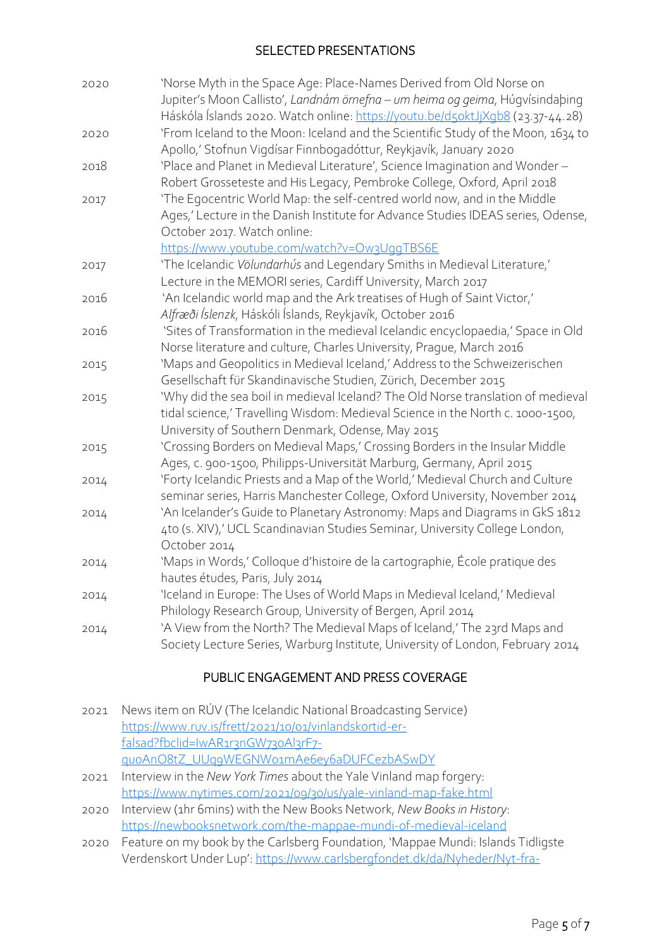## SELECTED PRESENTATIONS

| 2020 | 'Norse Myth in the Space Age: Place-Names Derived from Old Norse on<br>Jupiter's Moon Callisto', Landnám örnefna - um heima og geima, Húgvísindabing<br>Háskóla Íslands 2020. Watch online: https://youtu.be/d5oktJjXqb8 (23.37-44.28) |
|------|----------------------------------------------------------------------------------------------------------------------------------------------------------------------------------------------------------------------------------------|
| 2020 | 'From Iceland to the Moon: Iceland and the Scientific Study of the Moon, 1634 to<br>Apollo,' Stofnun Vigdísar Finnbogadóttur, Reykjavík, January 2020                                                                                  |
| 2018 | 'Place and Planet in Medieval Literature', Science Imagination and Wonder-<br>Robert Grosseteste and His Legacy, Pembroke College, Oxford, April 2018                                                                                  |
| 2017 | 'The Egocentric World Map: the self-centred world now, and in the Middle<br>Ages,' Lecture in the Danish Institute for Advance Studies IDEAS series, Odense,<br>October 2017. Watch online:                                            |
|      | https://www.youtube.com/watch?v=Ow3UggTBS6E                                                                                                                                                                                            |
| 2017 | 'The Icelandic Völundarhús and Legendary Smiths in Medieval Literature,'                                                                                                                                                               |
|      | Lecture in the MEMORI series, Cardiff University, March 2017                                                                                                                                                                           |
| 2016 | 'An Icelandic world map and the Ark treatises of Hugh of Saint Victor,'                                                                                                                                                                |
|      | Alfræði Íslenzk, Háskóli Íslands, Reykjavík, October 2016                                                                                                                                                                              |
| 2016 | 'Sites of Transformation in the medieval Icelandic encyclopaedia,' Space in Old                                                                                                                                                        |
|      | Norse literature and culture, Charles University, Prague, March 2016                                                                                                                                                                   |
| 2015 | 'Maps and Geopolitics in Medieval Iceland,' Address to the Schweizerischen                                                                                                                                                             |
|      | Gesellschaft für Skandinavische Studien, Zürich, December 2015                                                                                                                                                                         |
| 2015 | 'Why did the sea boil in medieval Iceland? The Old Norse translation of medieval                                                                                                                                                       |
|      | tidal science,' Travelling Wisdom: Medieval Science in the North c. 1000-1500,<br>University of Southern Denmark, Odense, May 2015                                                                                                     |
| 2015 | 'Crossing Borders on Medieval Maps,' Crossing Borders in the Insular Middle                                                                                                                                                            |
|      | Ages, c. 900-1500, Philipps-Universität Marburg, Germany, April 2015                                                                                                                                                                   |
| 2014 | 'Forty Icelandic Priests and a Map of the World,' Medieval Church and Culture<br>seminar series, Harris Manchester College, Oxford University, November 2014                                                                           |
| 2014 | 'An Icelander's Guide to Planetary Astronomy: Maps and Diagrams in GkS 1812<br>4to (s. XIV),' UCL Scandinavian Studies Seminar, University College London,<br>October 2014                                                             |
| 2014 | 'Maps in Words,' Colloque d'histoire de la cartographie, École pratique des<br>hautes études, Paris, July 2014                                                                                                                         |
| 2014 | 'Iceland in Europe: The Uses of World Maps in Medieval Iceland,' Medieval<br>Philology Research Group, University of Bergen, April 2014                                                                                                |
| 2014 | 'A View from the North? The Medieval Maps of Iceland,' The 23rd Maps and<br>Society Lecture Series, Warburg Institute, University of London, February 2014                                                                             |

# PUBLIC ENGAGEMENT AND PRESS COVERAGE

| News item on RÚV (The Icelandic National Broadcasting Service)               |
|------------------------------------------------------------------------------|
| https://www.ruv.is/frett/2021/10/01/vinlandskortid-er-                       |
| falsad?fbclid=IwAR1r3nGW730Al3rF7-                                           |
| quoAnO8tZ_UUqqWEGNWo1mAe6ey6aDUFCezbASwDY                                    |
| Interview in the New York Times about the Yale Vinland map forgery:          |
| https://www.nytimes.com/2021/09/30/us/yale-vinland-map-fake.html             |
| 2020 Interview (1hr 6mins) with the New Books Network, New Books in History: |
| https://newbooksnetwork.com/the-mappae-mundi-of-medieval-iceland             |
|                                                                              |

2020 Feature on my book by the Carlsberg Foundation, 'Mappae Mundi: Islands Tidligste Verdenskort Under Lup': [https://www.carlsbergfondet.dk/da/Nyheder/Nyt-fra-](https://www.carlsbergfondet.dk/da/Nyheder/Nyt-fra-fondet/Nyheder/Mappae-Mundi_Islands-tidligste-verdenskort-under-lup)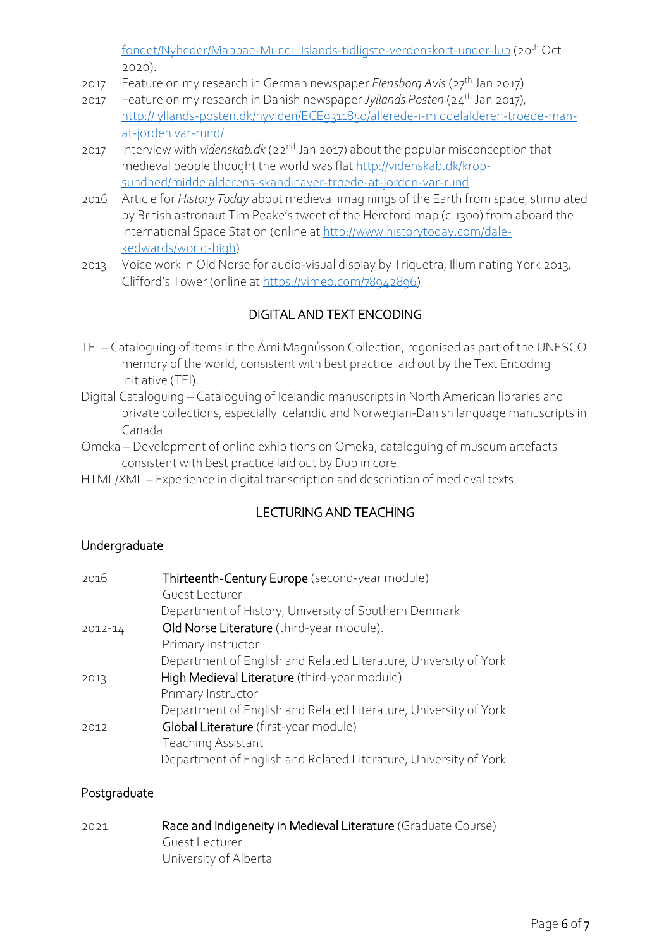[fondet/Nyheder/Mappae-Mundi\\_Islands-tidligste-verdenskort-under-lup](https://www.carlsbergfondet.dk/da/Nyheder/Nyt-fra-fondet/Nyheder/Mappae-Mundi_Islands-tidligste-verdenskort-under-lup) (20<sup>th</sup> Oct 2020).

- 2017 Feature on my research in German newspaper *Flensborg Avis* (27th Jan 2017)
- 2017 Feature on my research in Danish newspaper *Jyllands Posten* (24th Jan 2017), [http://jyllands-posten.dk/nyviden/ECE9311850/allerede-i-middelalderen-troede-man](http://jyllands-posten.dk/nyviden/ECE9311850/allerede-i-middelalderen-troede-man-at-jorden%20var-rund/)[at-jorden var-rund/](http://jyllands-posten.dk/nyviden/ECE9311850/allerede-i-middelalderen-troede-man-at-jorden%20var-rund/)
- 2017 Interview with *videnskab.dk* (22nd Jan 2017) about the popular misconception that medieval people thought the world was flat [http://videnskab.dk/krop](http://videnskab.dk/krop-sundhed/middelalderens-skandinaver-troede-at-jorden-var-rund)[sundhed/middelalderens-skandinaver-troede-at-jorden-var-rund](http://videnskab.dk/krop-sundhed/middelalderens-skandinaver-troede-at-jorden-var-rund)
- 2016 Article for *History Today* about medieval imaginings of the Earth from space, stimulated by British astronaut Tim Peake's tweet of the Hereford map (c.1300) from aboard the International Space Station (online a[t http://www.historytoday.com/dale](http://www.historytoday.com/dale-kedwards/world-high)[kedwards/world-high\)](http://www.historytoday.com/dale-kedwards/world-high)
- 2013 Voice work in Old Norse for audio-visual display by Triquetra, Illuminating York 2013, Clifford's Tower (online at [https://vimeo.com/78942896\)](https://vimeo.com/78942896)

# DIGITAL AND TEXT ENCODING

- TEI Cataloguing of items in the Árni Magnússon Collection, regonised as part of the UNESCO memory of the world, consistent with best practice laid out by the Text Encoding Initiative (TEI).
- Digital Cataloguing Cataloguing of Icelandic manuscripts in North American libraries and private collections, especially Icelandic and Norwegian-Danish language manuscripts in Canada
- Omeka Development of online exhibitions on Omeka, cataloguing of museum artefacts consistent with best practice laid out by Dublin core.
- HTML/XML Experience in digital transcription and description of medieval texts.

# LECTURING AND TEACHING

## Undergraduate

| 2016    | Thirteenth-Century Europe (second-year module)                   |
|---------|------------------------------------------------------------------|
|         | Guest Lecturer                                                   |
|         | Department of History, University of Southern Denmark            |
| 2012-14 | Old Norse Literature (third-year module).                        |
|         | Primary Instructor                                               |
|         | Department of English and Related Literature, University of York |
| 2013    | High Medieval Literature (third-year module)                     |
|         | Primary Instructor                                               |
|         | Department of English and Related Literature, University of York |
| 2012    | Global Literature (first-year module)                            |
|         | <b>Teaching Assistant</b>                                        |
|         | Department of English and Related Literature, University of York |

## Postgraduate

2021 Race and Indigeneity in Medieval Literature (Graduate Course) Guest Lecturer University of Alberta